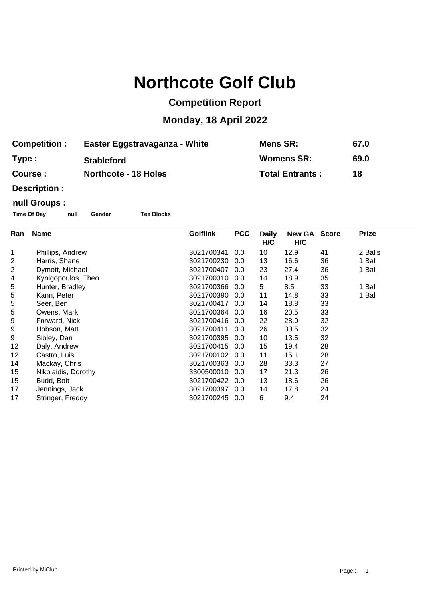## **Northcote Golf Club**

## **Competition Report**

## **Monday, 18 April 2022**

| <b>Competition :</b> | Easter Eggstravaganza - White | <b>Mens SR:</b>        | 67.0 |
|----------------------|-------------------------------|------------------------|------|
| Type:                | <b>Stableford</b>             | <b>Womens SR:</b>      | 69.0 |
| <b>Course :</b>      | <b>Northcote - 18 Holes</b>   | <b>Total Entrants:</b> | 18   |

**Description :**

## **null Groups :**

**Time Of Day null Gender Tee Blocks**

| Ran | <b>Name</b>         | <b>Golflink</b> | <b>PCC</b> | <b>Daily</b><br>H/C | <b>New GA</b><br>H/C | <b>Score</b> | <b>Prize</b> |
|-----|---------------------|-----------------|------------|---------------------|----------------------|--------------|--------------|
| 1   | Phillips, Andrew    | 3021700341      | 0.0        | 10                  | 12.9                 | 41           | 2 Balls      |
| 2   | Harris, Shane       | 3021700230      | 0.0        | 13                  | 16.6                 | 36           | 1 Ball       |
| 2   | Dymott, Michael     | 3021700407      | 0.0        | 23                  | 27.4                 | 36           | 1 Ball       |
| 4   | Kynigopoulos, Theo  | 3021700310      | 0.0        | 14                  | 18.9                 | 35           |              |
| 5   | Hunter, Bradley     | 3021700366      | 0.0        | 5                   | 8.5                  | 33           | 1 Ball       |
| 5   | Kann, Peter         | 3021700390      | 0.0        | 11                  | 14.8                 | 33           | 1 Ball       |
| 5   | Seer, Ben           | 3021700417      | 0.0        | 14                  | 18.8                 | 33           |              |
| 5   | Owens, Mark         | 3021700364      | 0.0        | 16                  | 20.5                 | 33           |              |
| 9   | Forward, Nick       | 3021700416      | 0.0        | 22                  | 28.0                 | 32           |              |
| 9   | Hobson, Matt        | 3021700411      | 0.0        | 26                  | 30.5                 | 32           |              |
| 9   | Sibley, Dan         | 3021700395      | 0.0        | 10                  | 13.5                 | 32           |              |
| 12  | Daly, Andrew        | 3021700415      | 0.0        | 15                  | 19.4                 | 28           |              |
| 12  | Castro, Luis        | 3021700102      | 0.0        | 11                  | 15.1                 | 28           |              |
| 14  | Mackay, Chris       | 3021700363      | 0.0        | 28                  | 33.3                 | 27           |              |
| 15  | Nikolaidis, Dorothy | 3300500010      | 0.0        | 17                  | 21.3                 | 26           |              |
| 15  | Budd, Bob           | 3021700422      | 0.0        | 13                  | 18.6                 | 26           |              |
| 17  | Jennings, Jack      | 3021700397      | 0.0        | 14                  | 17.8                 | 24           |              |
| 17  | Stringer, Freddy    | 3021700245      | 0.0        | 6                   | 9.4                  | 24           |              |